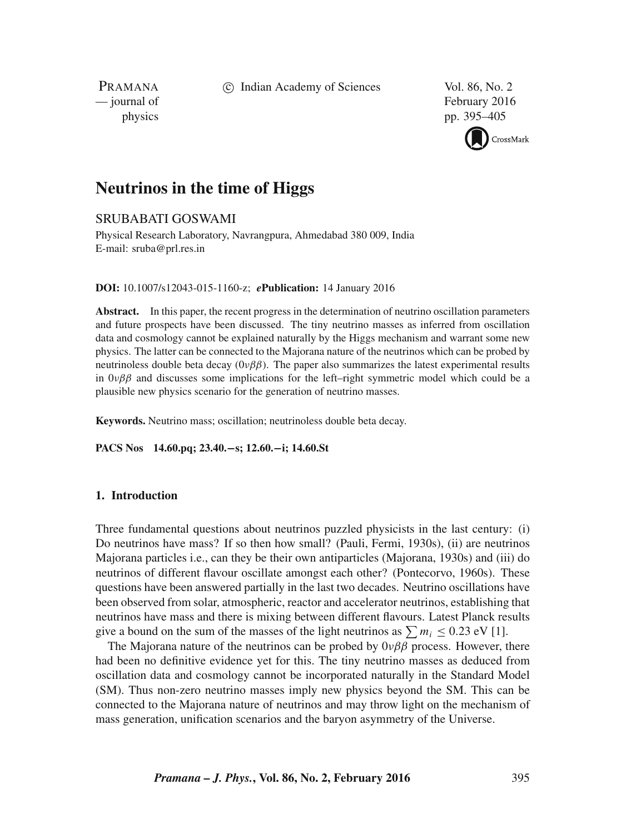c Indian Academy of Sciences Vol. 86, No. 2

PRAMANA<br>
— journal of

February 2016 physics pp. 395–405



# **Neutrinos in the time of Higgs**

# SRUBABATI GOSWAMI

Physical Research Laboratory, Navrangpura, Ahmedabad 380 009, India E-mail: sruba@prl.res.in

**DOI:** 10.1007/s12043-015-1160-z; *e***Publication:** 14 January 2016

**Abstract.** In this paper, the recent progress in the determination of neutrino oscillation parameters and future prospects have been discussed. The tiny neutrino masses as inferred from oscillation data and cosmology cannot be explained naturally by the Higgs mechanism and warrant some new physics. The latter can be connected to the Majorana nature of the neutrinos which can be probed by neutrinoless double beta decay  $(0\nu\beta\beta)$ . The paper also summarizes the latest experimental results in  $0\nu\beta\beta$  and discusses some implications for the left–right symmetric model which could be a plausible new physics scenario for the generation of neutrino masses.

**Keywords.** Neutrino mass; oscillation; neutrinoless double beta decay.

**PACS Nos 14.60.pq; 23.40.**−**s; 12.60.**−**i; 14.60.St**

### **1. Introduction**

Three fundamental questions about neutrinos puzzled physicists in the last century: (i) Do neutrinos have mass? If so then how small? (Pauli, Fermi, 1930s), (ii) are neutrinos Majorana particles i.e., can they be their own antiparticles (Majorana, 1930s) and (iii) do neutrinos of different flavour oscillate amongst each other? (Pontecorvo, 1960s). These questions have been answered partially in the last two decades. Neutrino oscillations have been observed from solar, atmospheric, reactor and accelerator neutrinos, establishing that neutrinos have mass and there is mixing between different flavours. Latest Planck results give a bound on the sum of the masses of the light neutrinos as  $\sum m_i \leq 0.23$  eV [1].

The Majorana nature of the neutrinos can be probed by  $0\nu\beta\beta$  process. However, there had been no definitive evidence yet for this. The tiny neutrino masses as deduced from oscillation data and cosmology cannot be incorporated naturally in the Standard Model (SM). Thus non-zero neutrino masses imply new physics beyond the SM. This can be connected to the Majorana nature of neutrinos and may throw light on the mechanism of mass generation, unification scenarios and the baryon asymmetry of the Universe.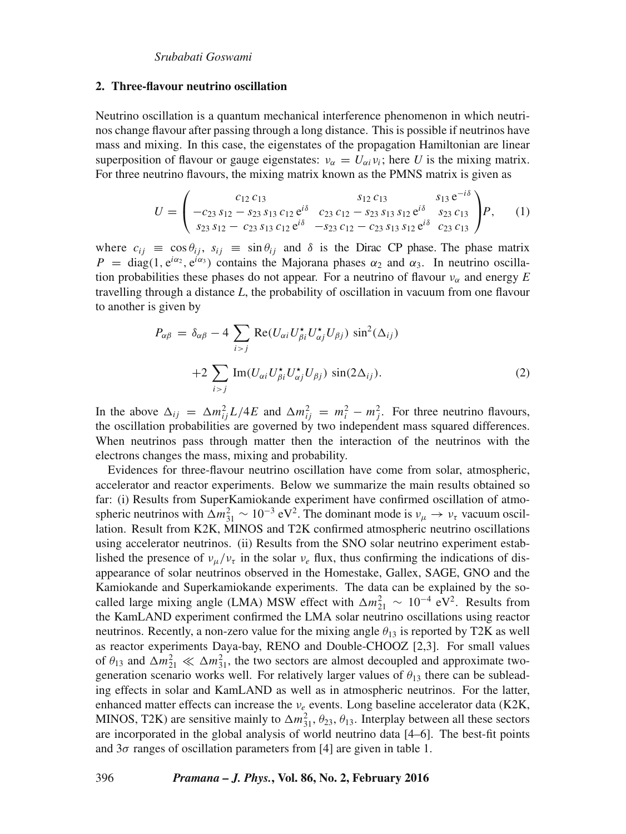#### **2. Three-flavour neutrino oscillation**

Neutrino oscillation is a quantum mechanical interference phenomenon in which neutrinos change flavour after passing through a long distance. This is possible if neutrinos have mass and mixing. In this case, the eigenstates of the propagation Hamiltonian are linear superposition of flavour or gauge eigenstates:  $v_{\alpha} = U_{\alpha i} v_i$ ; here *U* is the mixing matrix. For three neutrino flavours, the mixing matrix known as the PMNS matrix is given as

$$
U = \begin{pmatrix} c_{12} c_{13} & s_{12} c_{13} & s_{13} e^{-i\delta} \\ -c_{23} s_{12} - s_{23} s_{13} c_{12} e^{i\delta} & c_{23} c_{12} - s_{23} s_{13} s_{12} e^{i\delta} & s_{23} c_{13} \\ s_{23} s_{12} - c_{23} s_{13} c_{12} e^{i\delta} & -s_{23} c_{12} - c_{23} s_{13} s_{12} e^{i\delta} & c_{23} c_{13} \end{pmatrix} P, \qquad (1)
$$

where  $c_{ij} \equiv \cos \theta_{ij}$ ,  $s_{ij} \equiv \sin \theta_{ij}$  and  $\delta$  is the Dirac CP phase. The phase matrix  $P = \text{diag}(1, e^{i\alpha_2}, e^{i\alpha_3})$  contains the Majorana phases  $\alpha_2$  and  $\alpha_3$ . In neutrino oscillation probabilities these phases do not appear. For a neutrino of flavour  $v_\alpha$  and energy *E* travelling through a distance *L*, the probability of oscillation in vacuum from one flavour to another is given by

$$
P_{\alpha\beta} = \delta_{\alpha\beta} - 4 \sum_{i > j} \text{Re}(U_{\alpha i} U_{\beta i}^* U_{\alpha j}^* U_{\beta j}) \sin^2(\Delta_{ij})
$$
  
+2
$$
\sum_{i > j} \text{Im}(U_{\alpha i} U_{\beta i}^* U_{\alpha j}^* U_{\beta j}) \sin(2\Delta_{ij}).
$$
 (2)

In the above  $\Delta_{ij} = \Delta m_{ij}^2 L/4E$  and  $\Delta m_{ij}^2 = m_i^2 - m_j^2$ . For three neutrino flavours, the oscillation probabilities are governed by two independent mass squared differences. When neutrinos pass through matter then the interaction of the neutrinos with the electrons changes the mass, mixing and probability.

Evidences for three-flavour neutrino oscillation have come from solar, atmospheric, accelerator and reactor experiments. Below we summarize the main results obtained so far: (i) Results from SuperKamiokande experiment have confirmed oscillation of atmospheric neutrinos with  $\Delta m_{31}^2 \sim 10^{-3} \text{ eV}^2$ . The dominant mode is  $v_\mu \to v_\tau$  vacuum oscillation. Result from K2K, MINOS and T2K confirmed atmospheric neutrino oscillations using accelerator neutrinos. (ii) Results from the SNO solar neutrino experiment established the presence of  $v_\mu/v_\tau$  in the solar  $v_e$  flux, thus confirming the indications of disappearance of solar neutrinos observed in the Homestake, Gallex, SAGE, GNO and the Kamiokande and Superkamiokande experiments. The data can be explained by the socalled large mixing angle (LMA) MSW effect with  $\Delta m_{21}^2 \sim 10^{-4} \text{ eV}^2$ . Results from the KamLAND experiment confirmed the LMA solar neutrino oscillations using reactor neutrinos. Recently, a non-zero value for the mixing angle  $\theta_{13}$  is reported by T2K as well as reactor experiments Daya-bay, RENO and Double-CHOOZ [2,3]. For small values of  $\theta_{13}$  and  $\Delta m_{21}^2 \ll \Delta m_{31}^2$ , the two sectors are almost decoupled and approximate twogeneration scenario works well. For relatively larger values of  $\theta_{13}$  there can be subleading effects in solar and KamLAND as well as in atmospheric neutrinos. For the latter, enhanced matter effects can increase the  $v_e$  events. Long baseline accelerator data (K2K, MINOS, T2K) are sensitive mainly to  $\Delta m_{31}^2$ ,  $\theta_{23}$ ,  $\theta_{13}$ . Interplay between all these sectors are incorporated in the global analysis of world neutrino data [4–6]. The best-fit points and  $3\sigma$  ranges of oscillation parameters from [4] are given in table 1.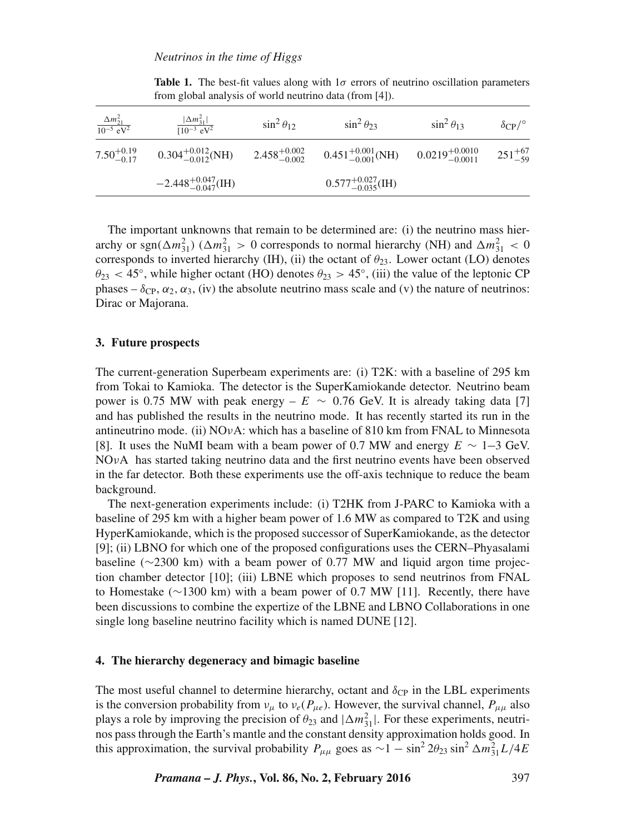| $\frac{\Delta m_{21}^2}{10^{-5} \text{ eV}^2}$ | $ \Delta m_{31}^2 $<br>$\sqrt{10^{-3} \text{ eV}^2}$ | $\sin^2 \theta_{12}$      | $\sin^2 \theta_{23}$                                        | $\sin^2 \theta_{13}$ | $\delta$ CP/ $\circ$ |
|------------------------------------------------|------------------------------------------------------|---------------------------|-------------------------------------------------------------|----------------------|----------------------|
| $7.50^{+0.19}_{-0.17}$                         | $0.304^{+0.012}_{-0.012}$ (NH)                       | $2.458^{+0.002}_{-0.002}$ | $0.451^{+0.001}_{-0.001}$ (NH) $0.0219^{+0.0010}_{-0.0011}$ |                      | $251^{+67}_{-59}$    |
|                                                | $-2.448^{+0.047}_{-0.047}$ (IH)                      |                           | $0.577^{+0.027}_{-0.035}$ (IH)                              |                      |                      |

**Table 1.** The best-fit values along with  $1\sigma$  errors of neutrino oscillation parameters from global analysis of world neutrino data (from [4]).

The important unknowns that remain to be determined are: (i) the neutrino mass hierarchy or sgn( $\Delta m_{31}^2$ ) ( $\Delta m_{31}^2 > 0$  corresponds to normal hierarchy (NH) and  $\Delta m_{31}^2 < 0$ corresponds to inverted hierarchy (IH), (ii) the octant of  $\theta_{23}$ . Lower octant (LO) denotes  $\theta_{23}$  < 45°, while higher octant (HO) denotes  $\theta_{23} > 45^{\circ}$ , (iii) the value of the leptonic CP phases –  $\delta_{\rm CP}, \alpha_2, \alpha_3$ , (iv) the absolute neutrino mass scale and (v) the nature of neutrinos: Dirac or Majorana.

### **3. Future prospects**

The current-generation Superbeam experiments are: (i) T2K: with a baseline of 295 km from Tokai to Kamioka. The detector is the SuperKamiokande detector. Neutrino beam power is 0.75 MW with peak energy –  $E \sim 0.76$  GeV. It is already taking data [7] and has published the results in the neutrino mode. It has recently started its run in the antineutrino mode. (ii)  $NOvA$ : which has a baseline of 810 km from FNAL to Minnesota [8]. It uses the NuMI beam with a beam power of 0.7 MW and energy  $E \sim 1-3$  GeV. NOνA has started taking neutrino data and the first neutrino events have been observed in the far detector. Both these experiments use the off-axis technique to reduce the beam background.

The next-generation experiments include: (i) T2HK from J-PARC to Kamioka with a baseline of 295 km with a higher beam power of 1.6 MW as compared to T2K and using HyperKamiokande, which is the proposed successor of SuperKamiokande, as the detector [9]; (ii) LBNO for which one of the proposed configurations uses the CERN–Phyasalami baseline (∼2300 km) with a beam power of 0.77 MW and liquid argon time projection chamber detector [10]; (iii) LBNE which proposes to send neutrinos from FNAL to Homestake (∼1300 km) with a beam power of 0.7 MW [11]. Recently, there have been discussions to combine the expertize of the LBNE and LBNO Collaborations in one single long baseline neutrino facility which is named DUNE [12].

### **4. The hierarchy degeneracy and bimagic baseline**

The most useful channel to determine hierarchy, octant and  $\delta_{\rm CP}$  in the LBL experiments is the conversion probability from  $v_{\mu}$  to  $v_e(P_{\mu e})$ . However, the survival channel,  $P_{\mu\mu}$  also plays a role by improving the precision of  $\theta_{23}$  and  $|\Delta m_{31}^2|$ . For these experiments, neutrinos pass through the Earth's mantle and the constant density approximation holds good. In this approximation, the survival probability  $P_{\mu\mu}$  goes as  $\sim 1 - \sin^2 2\theta_{23} \sin^2 \Delta m_{31}^2 L/4E$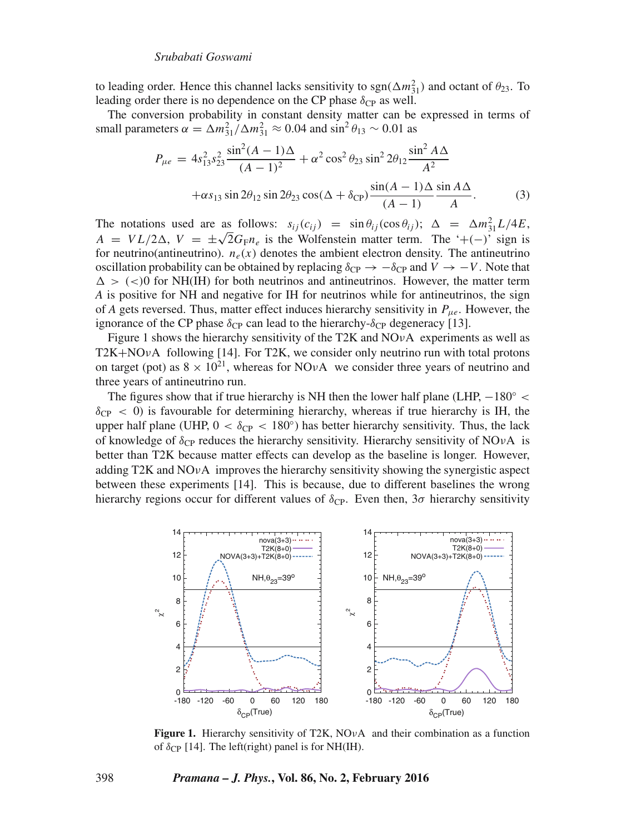to leading order. Hence this channel lacks sensitivity to  $sgn(\Delta m_{31}^2)$  and octant of  $\theta_{23}$ . To leading order there is no dependence on the CP phase  $\delta_{\rm CP}$  as well.

The conversion probability in constant density matter can be expressed in terms of small parameters  $\alpha = \Delta m_{31}^2 / \Delta m_{31}^2 \approx 0.04$  and  $\sin^2 \theta_{13} \sim 0.01$  as

$$
P_{\mu e} = 4s_{13}^2 s_{23}^2 \frac{\sin^2(A - 1)\Delta}{(A - 1)^2} + \alpha^2 \cos^2 \theta_{23} \sin^2 2\theta_{12} \frac{\sin^2 A \Delta}{A^2} + \alpha s_{13} \sin 2\theta_{12} \sin 2\theta_{23} \cos(\Delta + \delta_{CP}) \frac{\sin(A - 1)\Delta \sin A \Delta}{(A - 1)}.
$$
 (3)

The notations used are as follows:  $s_{ij}(c_{ij}) = \sin \theta_{ij}(\cos \theta_{ij})$ ;  $\Delta = \Delta m_{31}^2 L/4E$ ,  $A = VL/2\Delta$ ,  $V = \pm\sqrt{2}G_{\text{F}}n_e$  is the Wolfenstein matter term. The '+(−)' sign is for neutrino(antineutrino).  $n_e(x)$  denotes the ambient electron density. The antineutrino oscillation probability can be obtained by replacing  $\delta_{CP} \rightarrow -\delta_{CP}$  and  $V \rightarrow -V$ . Note that  $\Delta >$  (<)0 for NH(IH) for both neutrinos and antineutrinos. However, the matter term *A* is positive for NH and negative for IH for neutrinos while for antineutrinos, the sign of *A* gets reversed. Thus, matter effect induces hierarchy sensitivity in  $P_{\mu e}$ . However, the ignorance of the CP phase  $\delta_{CP}$  can lead to the hierarchy- $\delta_{CP}$  degeneracy [13].

Figure 1 shows the hierarchy sensitivity of the T2K and  $NOvA$  experiments as well as T2K+NO $\nu$ A following [14]. For T2K, we consider only neutrino run with total protons on target (pot) as  $8 \times 10^{21}$ , whereas for NOvA we consider three years of neutrino and three years of antineutrino run.

The figures show that if true hierarchy is NH then the lower half plane (LHP,  $-180° <$  $\delta_{CP}$  < 0) is favourable for determining hierarchy, whereas if true hierarchy is IH, the upper half plane (UHP,  $0 < \delta_{CP} < 180^{\circ}$ ) has better hierarchy sensitivity. Thus, the lack of knowledge of  $\delta_{CP}$  reduces the hierarchy sensitivity. Hierarchy sensitivity of NOvA is better than T2K because matter effects can develop as the baseline is longer. However, adding T2K and  $NOvA$  improves the hierarchy sensitivity showing the synergistic aspect between these experiments [14]. This is because, due to different baselines the wrong hierarchy regions occur for different values of  $\delta_{\text{CP}}$ . Even then,  $3\sigma$  hierarchy sensitivity



**Figure 1.** Hierarchy sensitivity of T2K, NO<sub>V</sub>A and their combination as a function of  $\delta_{\text{CP}}$  [14]. The left(right) panel is for NH(IH).

#### 398 *Pramana – J. Phys.***, Vol. 86, No. 2, February 2016**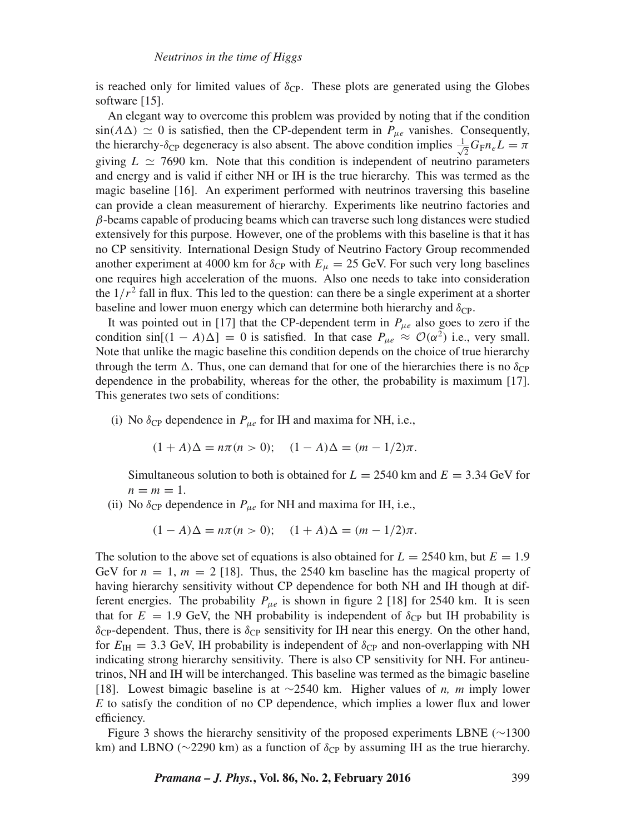is reached only for limited values of  $\delta_{CP}$ . These plots are generated using the Globes software [15].

An elegant way to overcome this problem was provided by noting that if the condition  $sin(A\Delta) \simeq 0$  is satisfied, then the CP-dependent term in  $P_{\mu e}$  vanishes. Consequently, the hierarchy- $\delta_{CP}$  degeneracy is also absent. The above condition implies  $\frac{1}{\sqrt{2}}$  $\frac{1}{2}G_{\mathrm{F}}n_{e}L=\pi$ giving  $L \simeq 7690$  km. Note that this condition is independent of neutrino parameters and energy and is valid if either NH or IH is the true hierarchy. This was termed as the magic baseline [16]. An experiment performed with neutrinos traversing this baseline can provide a clean measurement of hierarchy. Experiments like neutrino factories and  $\beta$ -beams capable of producing beams which can traverse such long distances were studied extensively for this purpose. However, one of the problems with this baseline is that it has no CP sensitivity. International Design Study of Neutrino Factory Group recommended another experiment at 4000 km for  $\delta_{CP}$  with  $E_{\mu} = 25$  GeV. For such very long baselines one requires high acceleration of the muons. Also one needs to take into consideration the  $1/r^2$  fall in flux. This led to the question: can there be a single experiment at a shorter baseline and lower muon energy which can determine both hierarchy and  $\delta_{\text{CP}}$ .

It was pointed out in [17] that the CP-dependent term in  $P_{\mu e}$  also goes to zero if the condition  $\sin[(1 - A)\Delta] = 0$  is satisfied. In that case  $P_{\mu e} \approx \mathcal{O}(\alpha^2)$  i.e., very small. Note that unlike the magic baseline this condition depends on the choice of true hierarchy through the term  $\Delta$ . Thus, one can demand that for one of the hierarchies there is no  $\delta_{CP}$ dependence in the probability, whereas for the other, the probability is maximum [17]. This generates two sets of conditions:

(i) No  $\delta_{CP}$  dependence in  $P_{\mu e}$  for IH and maxima for NH, i.e.,

$$
(1 + A)\Delta = n\pi (n > 0); \quad (1 - A)\Delta = (m - 1/2)\pi.
$$

Simultaneous solution to both is obtained for  $L = 2540$  km and  $E = 3.34$  GeV for  $n = m = 1$ .

(ii) No  $\delta_{CP}$  dependence in  $P_{\mu e}$  for NH and maxima for IH, i.e.,

 $(1 - A)\Delta = n\pi (n > 0);$   $(1 + A)\Delta = (m - 1/2)\pi.$ 

The solution to the above set of equations is also obtained for  $L = 2540$  km, but  $E = 1.9$ GeV for  $n = 1$ ,  $m = 2$  [18]. Thus, the 2540 km baseline has the magical property of having hierarchy sensitivity without CP dependence for both NH and IH though at different energies. The probability  $P_{\mu e}$  is shown in figure 2 [18] for 2540 km. It is seen that for  $E = 1.9$  GeV, the NH probability is independent of  $\delta_{CP}$  but IH probability is  $\delta_{\text{CP}}$ -dependent. Thus, there is  $\delta_{\text{CP}}$  sensitivity for IH near this energy. On the other hand, for  $E_{\text{IH}} = 3.3$  GeV, IH probability is independent of  $\delta_{\text{CP}}$  and non-overlapping with NH indicating strong hierarchy sensitivity. There is also CP sensitivity for NH. For antineutrinos, NH and IH will be interchanged. This baseline was termed as the bimagic baseline [18]. Lowest bimagic baseline is at ∼2540 km. Higher values of *n, m* imply lower *E* to satisfy the condition of no CP dependence, which implies a lower flux and lower efficiency.

Figure 3 shows the hierarchy sensitivity of the proposed experiments LBNE (∼1300 km) and LBNO ( $\sim$ 2290 km) as a function of  $\delta_{CP}$  by assuming IH as the true hierarchy.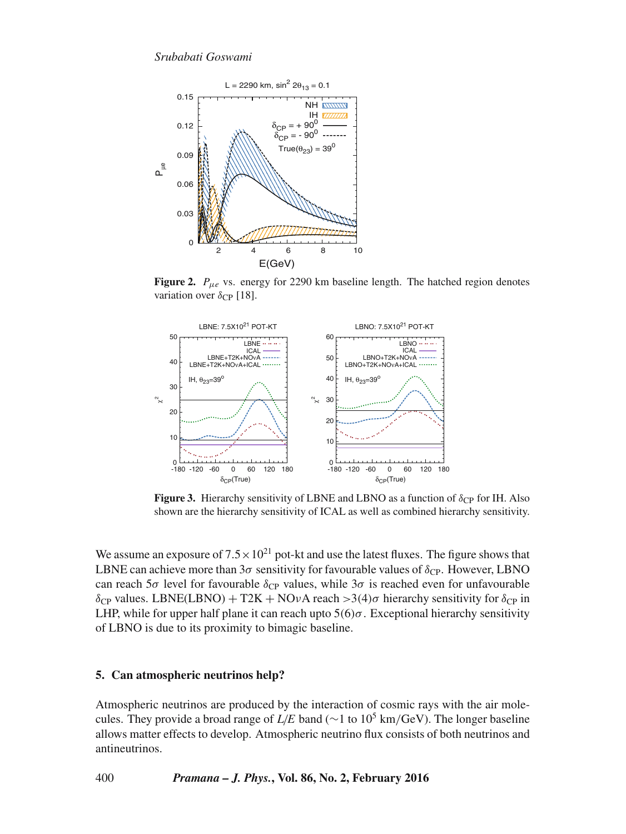

**Figure 2.**  $P_{\mu e}$  vs. energy for 2290 km baseline length. The hatched region denotes variation over  $\delta_{CP}$  [18].



**Figure 3.** Hierarchy sensitivity of LBNE and LBNO as a function of  $\delta_{CP}$  for IH. Also shown are the hierarchy sensitivity of ICAL as well as combined hierarchy sensitivity.

We assume an exposure of  $7.5 \times 10^{21}$  pot-kt and use the latest fluxes. The figure shows that LBNE can achieve more than  $3\sigma$  sensitivity for favourable values of  $\delta_{\rm CP}$ . However, LBNO can reach  $5\sigma$  level for favourable  $\delta_{CP}$  values, while  $3\sigma$  is reached even for unfavourable δ<sub>CP</sub> values. LBNE(LBNO) + T2K + NOνA reach >3(4)σ hierarchy sensitivity for δ<sub>CP</sub> in LHP, while for upper half plane it can reach upto  $5(6)\sigma$ . Exceptional hierarchy sensitivity of LBNO is due to its proximity to bimagic baseline.

# **5. Can atmospheric neutrinos help?**

Atmospheric neutrinos are produced by the interaction of cosmic rays with the air molecules. They provide a broad range of  $L/E$  band (∼1 to 10<sup>5</sup> km/GeV). The longer baseline allows matter effects to develop. Atmospheric neutrino flux consists of both neutrinos and antineutrinos.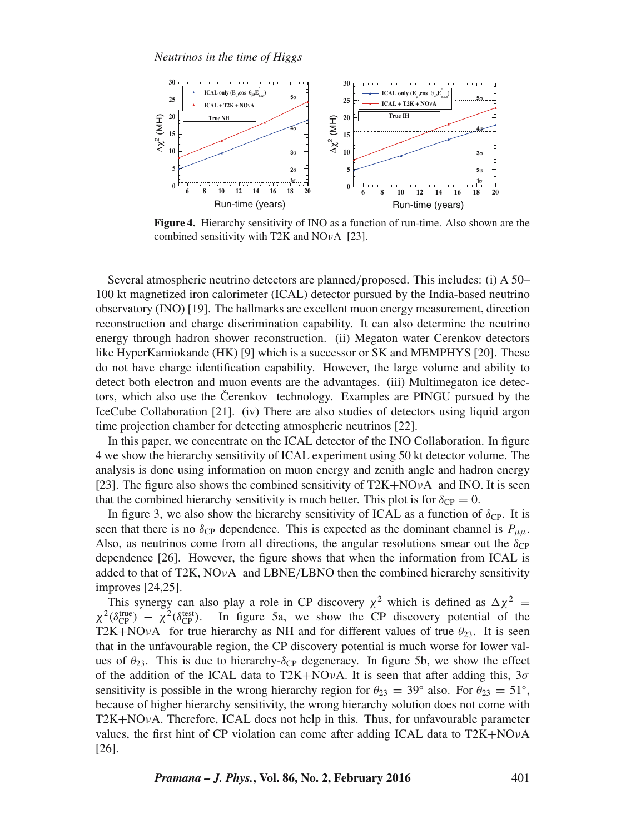

**Figure 4.** Hierarchy sensitivity of INO as a function of run-time. Also shown are the combined sensitivity with T2K and  $NOvA$  [23].

Several atmospheric neutrino detectors are planned/proposed. This includes: (i) A 50– 100 kt magnetized iron calorimeter (ICAL) detector pursued by the India-based neutrino observatory (INO) [19]. The hallmarks are excellent muon energy measurement, direction reconstruction and charge discrimination capability. It can also determine the neutrino energy through hadron shower reconstruction. (ii) Megaton water Cerenkov detectors like HyperKamiokande (HK) [9] which is a successor or SK and MEMPHYS [20]. These do not have charge identification capability. However, the large volume and ability to detect both electron and muon events are the advantages. (iii) Multimegaton ice detectors, which also use the Čerenkov technology. Examples are PINGU pursued by the IceCube Collaboration [21]. (iv) There are also studies of detectors using liquid argon time projection chamber for detecting atmospheric neutrinos [22].

In this paper, we concentrate on the ICAL detector of the INO Collaboration. In figure 4 we show the hierarchy sensitivity of ICAL experiment using 50 kt detector volume. The analysis is done using information on muon energy and zenith angle and hadron energy [23]. The figure also shows the combined sensitivity of  $T2K+NQ\nu A$  and INO. It is seen that the combined hierarchy sensitivity is much better. This plot is for  $\delta_{CP} = 0$ .

In figure 3, we also show the hierarchy sensitivity of ICAL as a function of  $\delta_{\text{CP}}$ . It is seen that there is no  $\delta_{CP}$  dependence. This is expected as the dominant channel is  $P_{\mu\mu}$ . Also, as neutrinos come from all directions, the angular resolutions smear out the  $\delta_{\text{CP}}$ dependence [26]. However, the figure shows that when the information from ICAL is added to that of T2K,  $NOvA$  and LBNE/LBNO then the combined hierarchy sensitivity improves [24,25].

This synergy can also play a role in CP discovery  $\chi^2$  which is defined as  $\Delta \chi^2$  =  $\chi^2$ ( $\delta_{\rm CP}^{\rm true}$ ) –  $\chi^2$ ( $\delta_{\rm CP}^{\rm test}$ In figure 5a, we show the CP discovery potential of the T2K+NOvA for true hierarchy as NH and for different values of true  $\theta_{23}$ . It is seen that in the unfavourable region, the CP discovery potential is much worse for lower values of  $\theta_{23}$ . This is due to hierarchy- $\delta_{CP}$  degeneracy. In figure 5b, we show the effect of the addition of the ICAL data to T2K+NOvA. It is seen that after adding this,  $3\sigma$ sensitivity is possible in the wrong hierarchy region for  $\theta_{23} = 39^\circ$  also. For  $\theta_{23} = 51^\circ$ , because of higher hierarchy sensitivity, the wrong hierarchy solution does not come with  $T2K+NOvA$ . Therefore, ICAL does not help in this. Thus, for unfavourable parameter values, the first hint of CP violation can come after adding ICAL data to T2K+NOνA [26].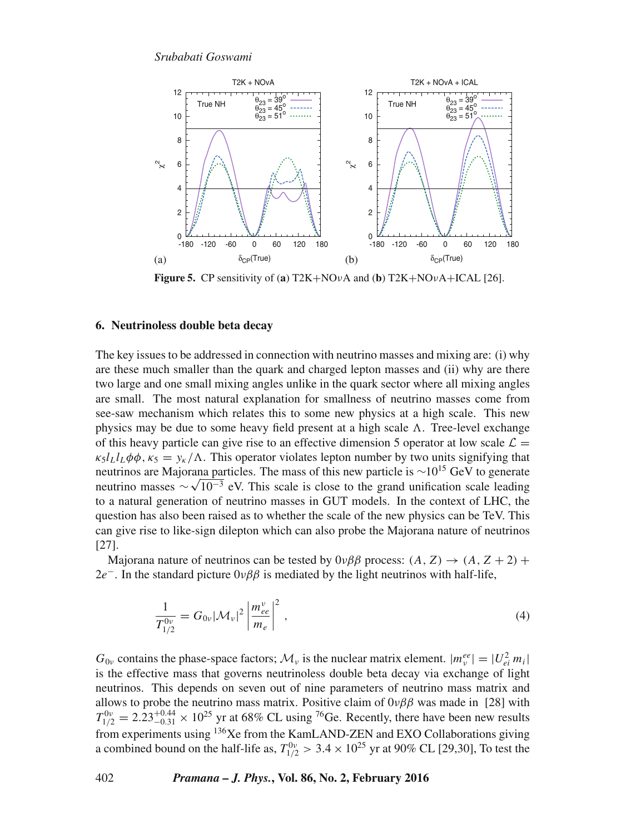

**Figure 5.** CP sensitivity of (**a**) T2K+NOνA and (**b**) T2K+NOνA+ICAL [26].

### **6. Neutrinoless double beta decay**

The key issues to be addressed in connection with neutrino masses and mixing are: (i) why are these much smaller than the quark and charged lepton masses and (ii) why are there two large and one small mixing angles unlike in the quark sector where all mixing angles are small. The most natural explanation for smallness of neutrino masses come from see-saw mechanism which relates this to some new physics at a high scale. This new physics may be due to some heavy field present at a high scale  $\Lambda$ . Tree-level exchange of this heavy particle can give rise to an effective dimension 5 operator at low scale  $\mathcal{L} =$  $\kappa_5 l_L l_L \phi \phi$ ,  $\kappa_5 = \gamma_{\kappa}/\Lambda$ . This operator violates lepton number by two units signifying that neutrinos are Majorana particles. The mass of this new particle is <sup>∼</sup>10<sup>15</sup> GeV to generate neutrino masses  $\sim \sqrt{10^{-3}}$  eV. This scale is close to the grand unification scale leading to a natural generation of neutrino masses in GUT models. In the context of LHC, the question has also been raised as to whether the scale of the new physics can be TeV. This can give rise to like-sign dilepton which can also probe the Majorana nature of neutrinos [27].

Majorana nature of neutrinos can be tested by  $0\nu\beta\beta$  process:  $(A, Z) \rightarrow (A, Z + 2) +$ 2e<sup>-</sup>. In the standard picture  $0\nu\beta\beta$  is mediated by the light neutrinos with half-life,

$$
\frac{1}{T_{1/2}^{0\nu}} = G_{0\nu} |\mathcal{M}_{\nu}|^2 \left| \frac{m_{ee}^{\nu}}{m_e} \right|^2 , \qquad (4)
$$

 $G_{0\nu}$  contains the phase-space factors;  $\mathcal{M}_{\nu}$  is the nuclear matrix element.  $|m_{\nu}^{ee}| = |U_{ei}^2 m_i|$ is the effective mass that governs neutrinoless double beta decay via exchange of light neutrinos. This depends on seven out of nine parameters of neutrino mass matrix and allows to probe the neutrino mass matrix. Positive claim of  $0\nu\beta\beta$  was made in [28] with  $T_{1/2}^{0\nu} = 2.23^{+0.44}_{-0.31} \times 10^{25}$  yr at 68% CL using <sup>76</sup>Ge. Recently, there have been new results from experiments using <sup>136</sup>Xe from the KamLAND-ZEN and EXO Collaborations giving a combined bound on the half-life as,  $T_{1/2}^{0\nu} > 3.4 \times 10^{25}$  yr at 90% CL [29,30], To test the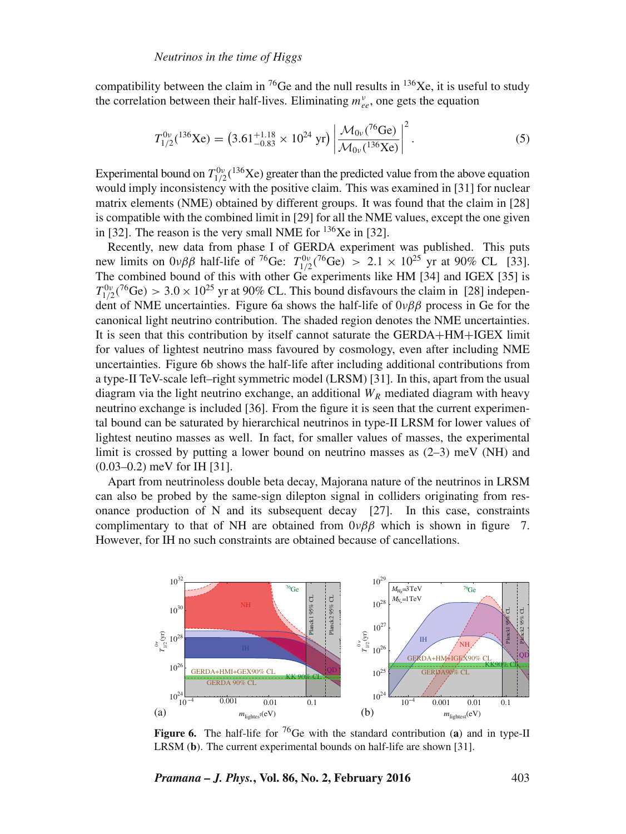compatibility between the claim in <sup>76</sup>Ge and the null results in <sup>136</sup>Xe, it is useful to study the correlation between their half-lives. Eliminating  $m_{ee}^v$ , one gets the equation

$$
T_{1/2}^{0\nu}({}^{136}\text{Xe}) = (3.61^{+1.18}_{-0.83} \times 10^{24} \text{ yr}) \left| \frac{\mathcal{M}_{0\nu}({}^{76}\text{Ge})}{\mathcal{M}_{0\nu}({}^{136}\text{Xe})} \right|^2.
$$
 (5)

Experimental bound on  $T_{1/2}^{0\nu}$  (<sup>136</sup>Xe) greater than the predicted value from the above equation would imply inconsistency with the positive claim. This was examined in [31] for nuclear matrix elements (NME) obtained by different groups. It was found that the claim in [28] is compatible with the combined limit in [29] for all the NME values, except the one given in [32]. The reason is the very small NME for  $136Xe$  in [32].

Recently, new data from phase I of GERDA experiment was published. This puts new limits on  $0\nu\beta\beta$  half-life of <sup>76</sup>Ge:  $T_{1/2}^{0\nu}({}^{76}\text{Ge})$  > 2.1 ×  $10^{25}$  yr at 90% CL [33]. The combined bound of this with other  $Ge$  experiments like HM [34] and IGEX [35] is  $T_{1/2}^{0\nu}({}^{76}\text{Ge}) > 3.0 \times 10^{25}$  yr at 90% CL. This bound disfavours the claim in [28] independent of NME uncertainties. Figure 6a shows the half-life of  $0\nu\beta\beta$  process in Ge for the canonical light neutrino contribution. The shaded region denotes the NME uncertainties. It is seen that this contribution by itself cannot saturate the GERDA+HM+IGEX limit for values of lightest neutrino mass favoured by cosmology, even after including NME uncertainties. Figure 6b shows the half-life after including additional contributions from a type-II TeV-scale left–right symmetric model (LRSM) [31]. In this, apart from the usual diagram via the light neutrino exchange, an additional  $W_R$  mediated diagram with heavy neutrino exchange is included [36]. From the figure it is seen that the current experimental bound can be saturated by hierarchical neutrinos in type-II LRSM for lower values of lightest neutino masses as well. In fact, for smaller values of masses, the experimental limit is crossed by putting a lower bound on neutrino masses as  $(2-3)$  meV (NH) and (0.03–0.2) meV for IH [31].

Apart from neutrinoless double beta decay, Majorana nature of the neutrinos in LRSM can also be probed by the same-sign dilepton signal in colliders originating from resonance production of N and its subsequent decay [27]. In this case, constraints complimentary to that of NH are obtained from  $0\nu\beta\beta$  which is shown in figure 7. However, for IH no such constraints are obtained because of cancellations.



**Figure 6.** The half-life for <sup>76</sup>Ge with the standard contribution (**a**) and in type-II LRSM (**b**). The current experimental bounds on half-life are shown [31].

*Pramana – J. Phys.***, Vol. 86, No. 2, February 2016** 403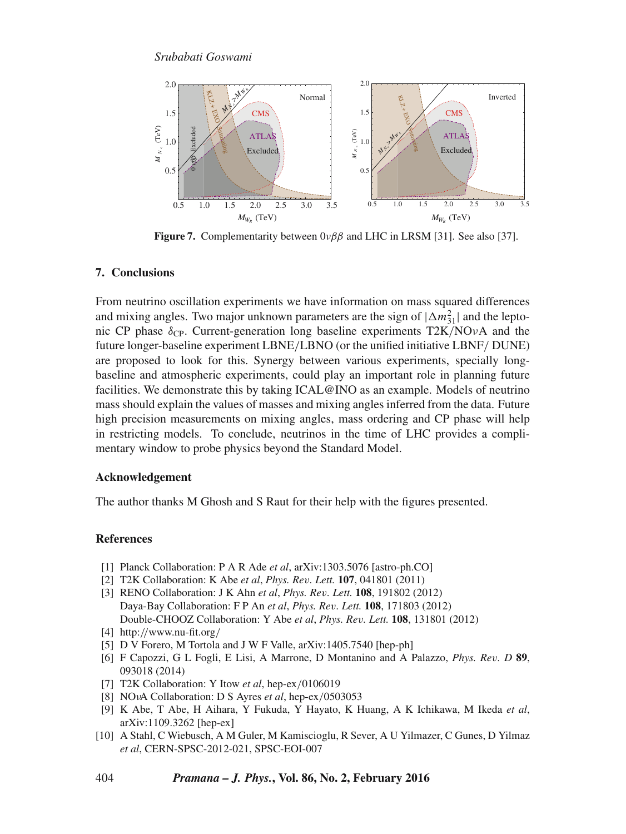

**Figure 7.** Complementarity between 0νββ and LHC in LRSM [31]. See also [37].

# **7. Conclusions**

From neutrino oscillation experiments we have information on mass squared differences and mixing angles. Two major unknown parameters are the sign of  $|\Delta m_{31}^2|$  and the leptonic CP phase  $\delta_{\rm CP}$ . Current-generation long baseline experiments T2K/NOvA and the future longer-baseline experiment LBNE/LBNO (or the unified initiative LBNF/ DUNE) are proposed to look for this. Synergy between various experiments, specially longbaseline and atmospheric experiments, could play an important role in planning future facilities. We demonstrate this by taking ICAL@INO as an example. Models of neutrino mass should explain the values of masses and mixing angles inferred from the data. Future high precision measurements on mixing angles, mass ordering and CP phase will help in restricting models. To conclude, neutrinos in the time of LHC provides a complimentary window to probe physics beyond the Standard Model.

## **Acknowledgement**

The author thanks M Ghosh and S Raut for their help with the figures presented.

# **References**

- [1] Planck Collaboration: P A R Ade *et al*, arXiv:1303.5076 [astro-ph.CO]
- [2] T2K Collaboration: K Abe *et al*, *Phys. Re*v*. Lett.* **107**, 041801 (2011)
- [3] RENO Collaboration: J K Ahn *et al*, *Phys. Re*v*. Lett.* **108**, 191802 (2012) Daya-Bay Collaboration: F P An *et al*, *Phys. Re*v*. Lett.* **108**, 171803 (2012) Double-CHOOZ Collaboration: Y Abe *et al*, *Phys. Re*v*. Lett.* **108**, 131801 (2012)
- [4] http://www.nu-fit.org/
- [5] D V Forero, M Tortola and J W F Valle, arXiv:1405.7540 [hep-ph]
- [6] F Capozzi, G L Fogli, E Lisi, A Marrone, D Montanino and A Palazzo, *Phys. Re*v*. D* **89**, 093018 (2014)
- [7] T2K Collaboration: Y Itow *et al*, hep-ex/0106019
- [8] NOνA Collaboration: D S Ayres *et al*, hep-ex/0503053
- [9] K Abe, T Abe, H Aihara, Y Fukuda, Y Hayato, K Huang, A K Ichikawa, M Ikeda *et al*, arXiv:1109.3262 [hep-ex]
- [10] A Stahl, C Wiebusch, A M Guler, M Kamiscioglu, R Sever, A U Yilmazer, C Gunes, D Yilmaz *et al*, CERN-SPSC-2012-021, SPSC-EOI-007